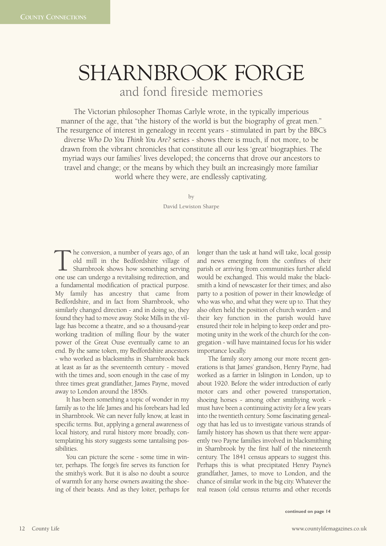## SHARNBROOK FORGE and fond fireside memories

The Victorian philosopher Thomas Carlyle wrote, in the typically imperious manner of the age, that "the history of the world is but the biography of great men." The resurgence of interest in genealogy in recent years - stimulated in part by the BBC's diverse *Who Do You Think You Are?* series - shows there is much, if not more, to be drawn from the vibrant chronicles that constitute all our less 'great' biographies. The myriad ways our families' lives developed; the concerns that drove our ancestors to travel and change; or the means by which they built an increasingly more familiar world where they were, are endlessly captivating.

by

David Lewiston Sharpe

he conversion, a number of years ago, of an old mill in the Bedfordshire village of Sharnbrook shows how something serving The conversion, a number of years ago, of an old mill in the Bedfordshire village of Sharnbrook shows how something serving one use can undergo a revitalising redirection, and a fundamental modification of practical purpose. My family has ancestry that came from Bedfordshire, and in fact from Sharnbrook, who similarly changed direction - and in doing so, they found they had to move away. Stoke Mills in the village has become a theatre, and so a thousand-year working tradition of milling flour by the water power of the Great Ouse eventually came to an end. By the same token, my Bedfordshire ancestors - who worked as blacksmiths in Sharnbrook back at least as far as the seventeenth century - moved with the times and, soon enough in the case of my three times great grandfather, James Payne, moved away to London around the 1850s.

It has been something a topic of wonder in my family as to the life James and his forebears had led in Sharnbrook. We can never fully know, at least in specific terms. But, applying a general awareness of local history, and rural history more broadly, contemplating his story suggests some tantalising possibilities.

You can picture the scene - some time in winter, perhaps. The forge's fire serves its function for the smithy's work. But it is also no doubt a source of warmth for any horse owners awaiting the shoeing of their beasts. And as they loiter, perhaps for longer than the task at hand will take, local gossip and news emerging from the confines of their parish or arriving from communities further afield would be exchanged. This would make the blacksmith a kind of newscaster for their times; and also party to a position of power in their knowledge of who was who, and what they were up to. That they also often held the position of church warden - and their key function in the parish would have ensured their role in helping to keep order and promoting unity in the work of the church for the congregation - will have maintained focus for his wider importance locally.

The family story among our more recent generations is that James' grandson, Henry Payne, had worked as a farrier in Islington in London, up to about 1920. Before the wider introduction of early motor cars and other powered transportation, shoeing horses - among other smithying work must have been a continuing activity for a few years into the twentieth century. Some fascinating genealogy that has led us to investigate various strands of family history has shown us that there were apparently two Payne families involved in blacksmithing in Sharnbrook by the first half of the nineteenth century. The 1841 census appears to suggest this. Perhaps this is what precipitated Henry Payne's grandfather, James, to move to London, and the chance of similar work in the big city. Whatever the real reason (old census returns and other records